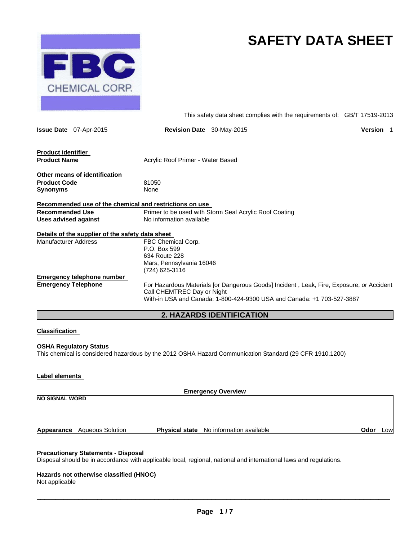

# **SAFETY DATA SHEET**

This safety data sheet complies with the requirements of: GB/T 17519-2013

|                                                       | <b>Issue Date</b> 07-Apr-2015                    | <b>Revision Date</b> 30-May-2015                                                                                                                                                                 | <b>Version</b> |  |
|-------------------------------------------------------|--------------------------------------------------|--------------------------------------------------------------------------------------------------------------------------------------------------------------------------------------------------|----------------|--|
| <b>Product identifier</b><br><b>Product Name</b>      |                                                  | Acrylic Roof Primer - Water Based                                                                                                                                                                |                |  |
|                                                       |                                                  |                                                                                                                                                                                                  |                |  |
| <b>Product Code</b><br><b>Synonyms</b>                | Other means of identification                    | 81050<br>None                                                                                                                                                                                    |                |  |
|                                                       |                                                  | Recommended use of the chemical and restrictions on use                                                                                                                                          |                |  |
| <b>Recommended Use</b><br><b>Uses advised against</b> |                                                  | Primer to be used with Storm Seal Acrylic Roof Coating<br>No information available                                                                                                               |                |  |
|                                                       | Details of the supplier of the safety data sheet |                                                                                                                                                                                                  |                |  |
| Manufacturer Address                                  |                                                  | FBC Chemical Corp.<br>P.O. Box 599<br>634 Route 228<br>Mars, Pennsylvania 16046<br>(724) 625-3116                                                                                                |                |  |
|                                                       | <b>Emergency telephone number</b>                |                                                                                                                                                                                                  |                |  |
| <b>Emergency Telephone</b>                            |                                                  | For Hazardous Materials [or Dangerous Goods] Incident, Leak, Fire, Exposure, or Accident<br>Call CHEMTREC Day or Night<br>With-in USA and Canada: 1-800-424-9300 USA and Canada: +1 703-527-3887 |                |  |
|                                                       |                                                  | <b>2. HAZARDS IDENTIFICATION</b>                                                                                                                                                                 |                |  |

# **Classification**

#### **OSHA Regulatory Status**

This chemical is considered hazardous by the 2012 OSHA Hazard Communication Standard (29 CFR 1910.1200)

#### **Label elements**

| <b>Emergency Overview</b> |                                    |  |                                                |      |            |
|---------------------------|------------------------------------|--|------------------------------------------------|------|------------|
| <b>NO SIGNAL WORD</b>     |                                    |  |                                                |      |            |
|                           |                                    |  |                                                |      |            |
|                           |                                    |  |                                                |      |            |
|                           | <b>Appearance</b> Aqueous Solution |  | <b>Physical state</b> No information available | Odor | <b>LOW</b> |

#### **Precautionary Statements - Disposal**

Disposal should be in accordance with applicable local, regional, national and international laws and regulations.

#### **Hazards not otherwise classified (HNOC)**

Not applicable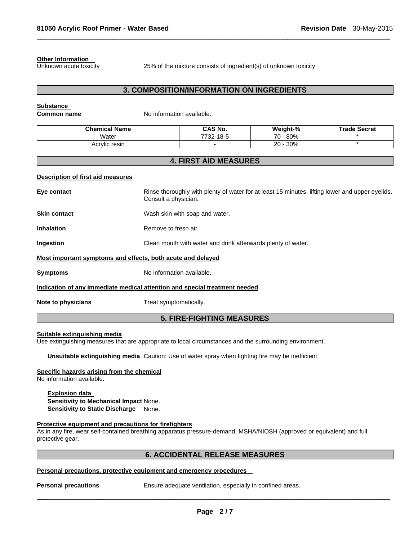#### **Other Information**

Unknown acute toxicity 25% of the mixture consists of ingredient(s) of unknown toxicity

# **3. COMPOSITION/INFORMATION ON INGREDIENTS**

 $\Box$ 

### **Substance**

**Common name No information available.** 

| <b>Chemical Name</b> | <b>CAS No.</b>   | Weight-%    | $T$ rade.<br>∘Secret |
|----------------------|------------------|-------------|----------------------|
| 'Water               | 732-18-5<br>フフへへ | 80%<br>70 - |                      |
| <br>Acrylic<br>resin |                  | 30%<br>20 - |                      |

# **4. FIRST AID MEASURES**

#### **Description of first aid measures**

| Eye contact                                                                | Rinse thoroughly with plenty of water for at least 15 minutes, lifting lower and upper eyelids.<br>Consult a physician. |  |  |
|----------------------------------------------------------------------------|-------------------------------------------------------------------------------------------------------------------------|--|--|
| <b>Skin contact</b>                                                        | Wash skin with soap and water.                                                                                          |  |  |
| <b>Inhalation</b>                                                          | Remove to fresh air.                                                                                                    |  |  |
| Ingestion                                                                  | Clean mouth with water and drink afterwards plenty of water.                                                            |  |  |
| Most important symptoms and effects, both acute and delayed                |                                                                                                                         |  |  |
| <b>Symptoms</b>                                                            | No information available.                                                                                               |  |  |
| Indication of any immediate medical attention and special treatment needed |                                                                                                                         |  |  |
| Note to physicians                                                         | Treat symptomatically.                                                                                                  |  |  |

# **5. FIRE-FIGHTING MEASURES**

#### **Suitable extinguishing media**

Use extinguishing measures that are appropriate to local circumstances and the surrounding environment.

**Unsuitable extinguishing media** Caution: Use of water spray when fighting fire may be inefficient.

#### **Specific hazards arising from the chemical**

No information available.

#### **Explosion data**

**Sensitivity to Mechanical Impact** None. **Sensitivity to Static Discharge** None.

#### **Protective equipment and precautions for firefighters**

As in any fire, wear self-contained breathing apparatus pressure-demand, MSHA/NIOSH (approved or equivalent) and full protective gear.

# **6. ACCIDENTAL RELEASE MEASURES**

#### **Personal precautions, protective equipment and emergency procedures**

**Personal precautions Ensure adequate ventilation, especially in confined areas.**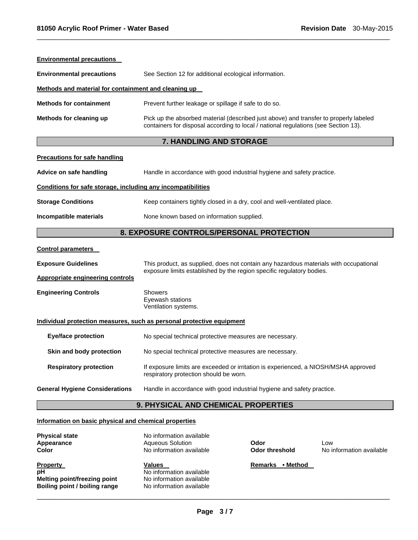| <b>Environmental precautions</b>                             |                                                                                                                                                                              |
|--------------------------------------------------------------|------------------------------------------------------------------------------------------------------------------------------------------------------------------------------|
| <b>Environmental precautions</b>                             | See Section 12 for additional ecological information.                                                                                                                        |
| Methods and material for containment and cleaning up         |                                                                                                                                                                              |
| <b>Methods for containment</b>                               | Prevent further leakage or spillage if safe to do so.                                                                                                                        |
| Methods for cleaning up                                      | Pick up the absorbed material (described just above) and transfer to properly labeled<br>containers for disposal according to local / national regulations (see Section 13). |
|                                                              | 7. HANDLING AND STORAGE                                                                                                                                                      |
| <b>Precautions for safe handling</b>                         |                                                                                                                                                                              |
| Advice on safe handling                                      | Handle in accordance with good industrial hygiene and safety practice.                                                                                                       |
| Conditions for safe storage, including any incompatibilities |                                                                                                                                                                              |
| <b>Storage Conditions</b>                                    | Keep containers tightly closed in a dry, cool and well-ventilated place.                                                                                                     |
| Incompatible materials                                       | None known based on information supplied.                                                                                                                                    |
|                                                              | 8. EXPOSURE CONTROLS/PERSONAL PROTECTION                                                                                                                                     |
| <b>Control parameters</b>                                    |                                                                                                                                                                              |
| <b>Exposure Guidelines</b>                                   | This product, as supplied, does not contain any hazardous materials with occupational<br>exposure limits established by the region specific regulatory bodies.               |
| <b>Appropriate engineering controls</b>                      |                                                                                                                                                                              |
| <b>Engineering Controls</b>                                  | Showers<br>Eyewash stations<br>Ventilation systems.                                                                                                                          |
|                                                              | Individual protection measures, such as personal protective equipment                                                                                                        |
| <b>Eye/face protection</b>                                   | No special technical protective measures are necessary.                                                                                                                      |
| Skin and body protection                                     | No special technical protective measures are necessary.                                                                                                                      |
| <b>Respiratory protection</b>                                | If exposure limits are exceeded or irritation is experienced, a NIOSH/MSHA approved<br>respiratory protection should be worn.                                                |
| <b>General Hygiene Considerations</b>                        | Handle in accordance with good industrial hygiene and safety practice.                                                                                                       |
|                                                              | 9. PHYSICAL AND CHEMICAL PROPERTIES                                                                                                                                          |
| Information on basic physical and chemical properties        |                                                                                                                                                                              |
|                                                              |                                                                                                                                                                              |

 $\Box$ 

| <b>Physical state</b>         | No information available |                            |                          |
|-------------------------------|--------------------------|----------------------------|--------------------------|
| Appearance                    | Aqueous Solution         | Odor                       | Low                      |
| <b>Color</b>                  | No information available | <b>Odor threshold</b>      | No information available |
| <b>Property</b>               | Values                   | • Method<br><b>Remarks</b> |                          |
| рH                            | No information available |                            |                          |
| Melting point/freezing point  | No information available |                            |                          |
| Boiling point / boiling range | No information available |                            |                          |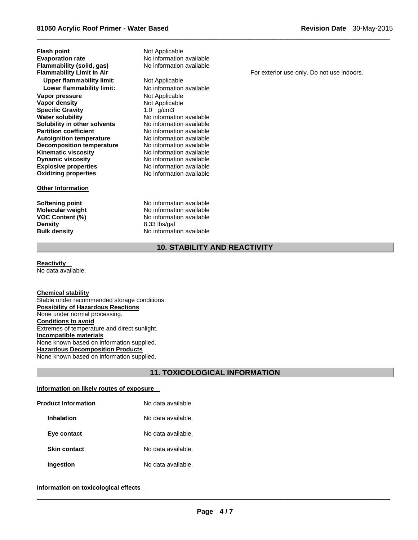**Flash point Mot Applicable Evaporation rate Communisty Communist Communist Communist Communist Communist Communist Communist Communist Communist Communist Communist Communist Communist Communist Communist Communist Communist Communist Communist C Flammability (solid, gas)**<br>**Flammability Limit in Air Upper flammability limit:** Not Applicable **Lower flammability limit:** No information available **Vapor pressure and all in the Vapor density and Applicable Vapor density of Applicable Vapor Shows Not Applicable Specific Gravity** 1.0 g/cm3 **Water solubility No information available Solubility in other solvents** No information available **Partition coefficient No information available**<br> **Autoignition temperature No information available Autoignition temperature Decomposition temperature** No information available **Kinematic viscosity No information available Dynamic viscosity**<br> **Explosive properties**<br>
No information available **Explosive properties No information available**<br> **Oxidizing properties No information available** 

#### **Other Information**

**Softening point** No information available **Density** 8.33 lbs/gal

**Not Applicable Oxidizing properties** No information available

**Molecular weight <br>VOC Content (%)** No information available<br>No information available **No information available Bulk density No information available** 

For exterior use only. Do not use indoors.

# **10. STABILITY AND REACTIVITY**

 $\Box$ 

#### **Reactivity**  No data available.

**Chemical stability**  Stable under recommended storage conditions. **Possibility of Hazardous Reactions**  None under normal processing. **Conditions to avoid**  Extremes of temperature and direct sunlight. **Incompatible materials**  None known based on information supplied. **Hazardous Decomposition Products**  None known based on information supplied.

# **11. TOXICOLOGICAL INFORMATION**

#### **Information on likely routes of exposure**

| <b>Product Information</b> | No data available. |
|----------------------------|--------------------|
| Inhalation                 | No data available. |
| Eye contact                | No data available. |
| <b>Skin contact</b>        | No data available. |
| Ingestion                  | No data available. |

# **Information on toxicological effects**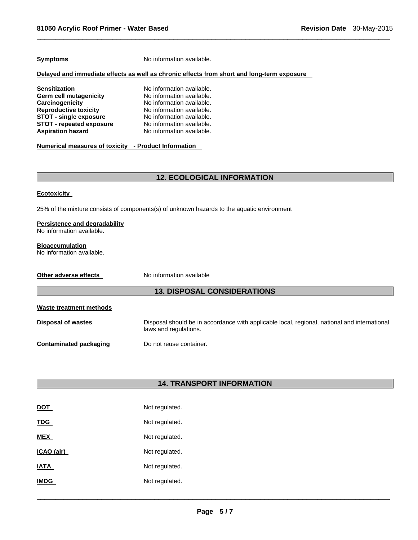**Symptoms** No information available.

#### **Delayed and immediate effects as well as chronic effects from short and long-term exposure**

**Sensitization**  No information available.<br> **Germ cell mutagenicity** No information available. **Germ cell mutagenicity Carcinogenicity 1988** No information available.<br> **Reproductive toxicity** No information available. No information available.<br>No information available. **STOT - single exposure No information available.**<br>**STOT - repeated exposure No information available. STOT - repeated exposure<br>Aspiration hazard** No information available.

**Numerical measures of toxicity - Product Information** 

# **12. ECOLOGICAL INFORMATION**

 $\Box$ 

#### **Ecotoxicity**

25% of the mixture consists of components(s) of unknown hazards to the aquatic environment

#### **Persistence and degradability**

No information available.

#### **Bioaccumulation**

No information available.

| Other adverse effects | No information available |
|-----------------------|--------------------------|
|                       |                          |

# **13. DISPOSAL CONSIDERATIONS**

| Waste treatment methods       |                                                                                                                       |  |  |  |
|-------------------------------|-----------------------------------------------------------------------------------------------------------------------|--|--|--|
| Disposal of wastes            | Disposal should be in accordance with applicable local, regional, national and international<br>laws and regulations. |  |  |  |
| <b>Contaminated packaging</b> | Do not reuse container.                                                                                               |  |  |  |

# **14. TRANSPORT INFORMATION**

| <b>DOT</b>  | Not regulated. |
|-------------|----------------|
| <b>TDG</b>  | Not regulated. |
| <b>MEX</b>  | Not regulated. |
| ICAO (air)  | Not regulated. |
| <b>IATA</b> | Not regulated. |
| IMDG        | Not regulated. |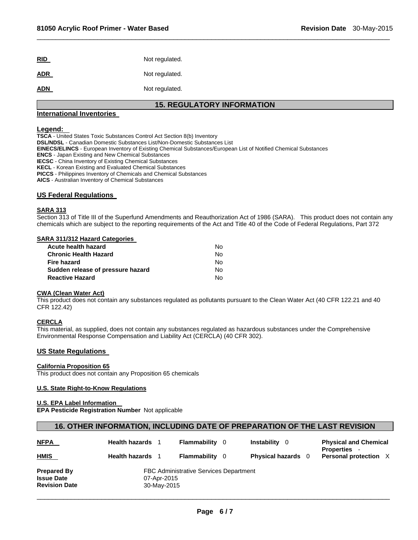| <b>RID</b> | Not regulated. |
|------------|----------------|
| <b>ADR</b> | Not regulated. |
| <b>ADN</b> | Not regulated. |

# **15. REGULATORY INFORMATION**

 $\Box$ 

#### **International Inventories**

**Legend: TSCA** - United States Toxic Substances Control Act Section 8(b) Inventory **DSL/NDSL** - Canadian Domestic Substances List/Non-Domestic Substances List **EINECS/ELINCS** - European Inventory of Existing Chemical Substances/European List of Notified Chemical Substances **ENCS** - Japan Existing and New Chemical Substances **IECSC** - China Inventory of Existing Chemical Substances **KECL** - Korean Existing and Evaluated Chemical Substances **PICCS** - Philippines Inventory of Chemicals and Chemical Substances **AICS** - Australian Inventory of Chemical Substances

#### **US Federal Regulations**

#### **SARA 313**

Section 313 of Title III of the Superfund Amendments and Reauthorization Act of 1986 (SARA). This product does not contain any chemicals which are subject to the reporting requirements of the Act and Title 40 of the Code of Federal Regulations, Part 372

#### **SARA 311/312 Hazard Categories**

| Acute health hazard               | N٥ |
|-----------------------------------|----|
| <b>Chronic Health Hazard</b>      | N٥ |
| Fire hazard                       | N٥ |
| Sudden release of pressure hazard | Nο |
| <b>Reactive Hazard</b>            | N٥ |

#### **CWA (Clean Water Act)**

This product does not contain any substances regulated as pollutants pursuant to the Clean Water Act (40 CFR 122.21 and 40 CFR 122.42)

#### **CERCLA**

This material, as supplied, does not contain any substances regulated as hazardous substances under the Comprehensive Environmental Response Compensation and Liability Act (CERCLA) (40 CFR 302).

#### **US State Regulations**

#### **California Proposition 65**

This product does not contain any Proposition 65 chemicals

#### **U.S. State Right-to-Know Regulations**

#### **U.S. EPA Label Information**

**EPA Pesticide Registration Number** Not applicable

#### **16. OTHER INFORMATION, INCLUDING DATE OF PREPARATION OF THE LAST REVISION**

| <b>NFPA</b>          | Health hazards 1                              | Flammability        |  | <b>Instability</b><br>- 0 | <b>Physical and Chemical</b><br><b>Properties</b> - |
|----------------------|-----------------------------------------------|---------------------|--|---------------------------|-----------------------------------------------------|
| <b>HMIS</b>          | <b>Health hazards</b> 1                       | <b>Flammability</b> |  | <b>Physical hazards</b> 0 | Personal protection X                               |
| <b>Prepared By</b>   | <b>FBC Administrative Services Department</b> |                     |  |                           |                                                     |
| <b>Issue Date</b>    | 07-Apr-2015                                   |                     |  |                           |                                                     |
| <b>Revision Date</b> | 30-May-2015                                   |                     |  |                           |                                                     |